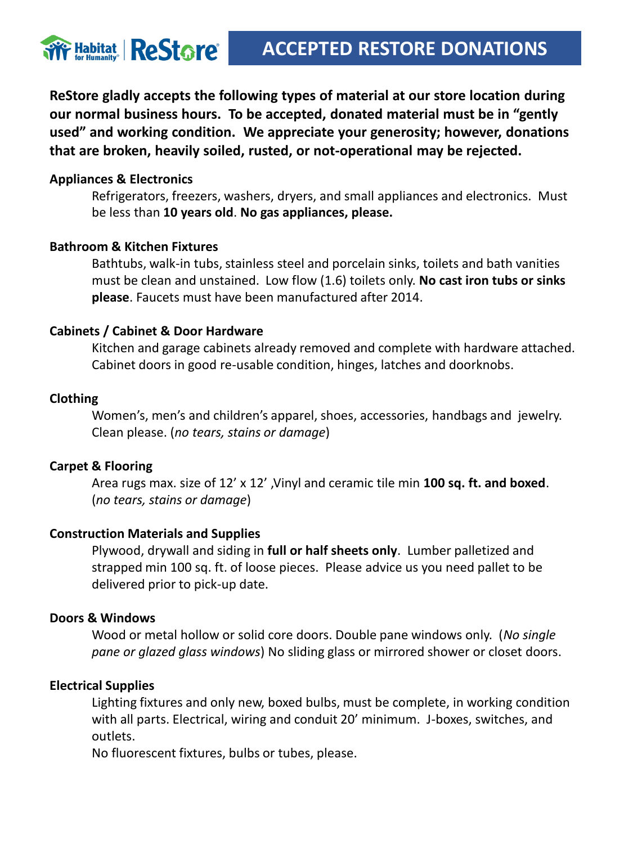

**ReStore gladly accepts the following types of material at our store location during our normal business hours. To be accepted, donated material must be in "gently used" and working condition. We appreciate your generosity; however, donations that are broken, heavily soiled, rusted, or not-operational may be rejected.**

## **Appliances & Electronics**

Refrigerators, freezers, washers, dryers, and small appliances and electronics. Must be less than **10 years old**. **No gas appliances, please.** 

## **Bathroom & Kitchen Fixtures**

Bathtubs, walk-in tubs, stainless steel and porcelain sinks, toilets and bath vanities must be clean and unstained. Low flow (1.6) toilets only. **No cast iron tubs or sinks please**. Faucets must have been manufactured after 2014.

## **Cabinets / Cabinet & Door Hardware**

Kitchen and garage cabinets already removed and complete with hardware attached. Cabinet doors in good re-usable condition, hinges, latches and doorknobs.

## **Clothing**

Women's, men's and children's apparel, shoes, accessories, handbags and jewelry. Clean please. (*no tears, stains or damage*)

## **Carpet & Flooring**

Area rugs max. size of 12' x 12' ,Vinyl and ceramic tile min **100 sq. ft. and boxed**. (*no tears, stains or damage*)

## **Construction Materials and Supplies**

Plywood, drywall and siding in **full or half sheets only**. Lumber palletized and strapped min 100 sq. ft. of loose pieces. Please advice us you need pallet to be delivered prior to pick-up date.

## **Doors & Windows**

Wood or metal hollow or solid core doors. Double pane windows only. (*No single pane or glazed glass windows*) No sliding glass or mirrored shower or closet doors.

## **Electrical Supplies**

Lighting fixtures and only new, boxed bulbs, must be complete, in working condition with all parts. Electrical, wiring and conduit 20' minimum. J-boxes, switches, and outlets.

No fluorescent fixtures, bulbs or tubes, please.